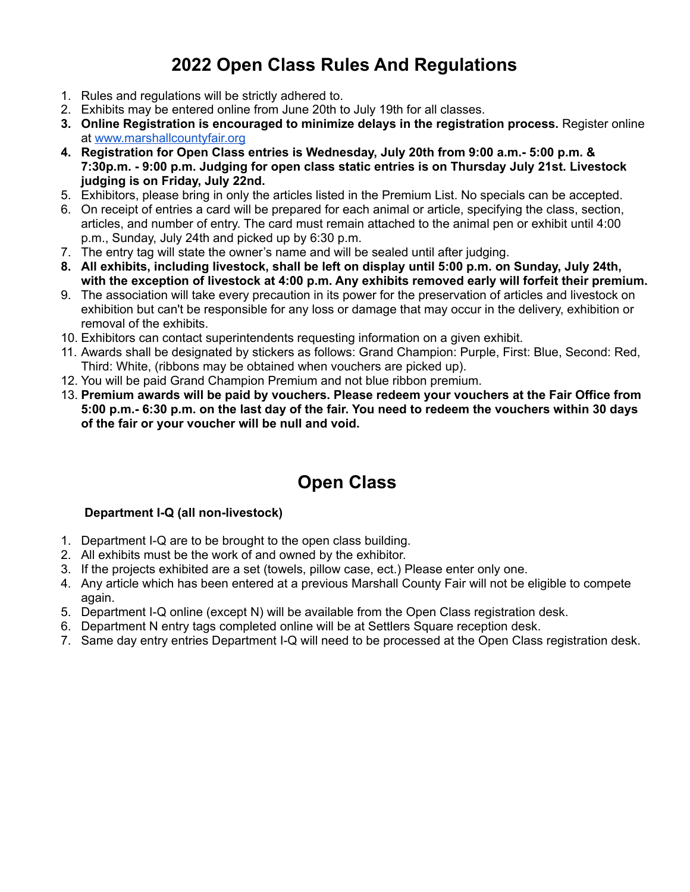## **2022 Open Class Rules And Regulations**

- 1. Rules and regulations will be strictly adhered to.
- 2. Exhibits may be entered online from June 20th to July 19th for all classes.
- **3. Online Registration is encouraged to minimize delays in the registration process.** Register online at [www.marshallcountyfair.org](http://www.marshallcountyfair.org)
- **4. Registration for Open Class entries is Wednesday, July 20th from 9:00 a.m.- 5:00 p.m. & 7:30p.m. - 9:00 p.m. Judging for open class static entries is on Thursday July 21st. Livestock judging is on Friday, July 22nd.**
- 5. Exhibitors, please bring in only the articles listed in the Premium List. No specials can be accepted.
- 6. On receipt of entries a card will be prepared for each animal or article, specifying the class, section, articles, and number of entry. The card must remain attached to the animal pen or exhibit until 4:00 p.m., Sunday, July 24th and picked up by 6:30 p.m.
- 7. The entry tag will state the owner's name and will be sealed until after judging.
- **8. All exhibits, including livestock, shall be left on display until 5:00 p.m. on Sunday, July 24th, with the exception of livestock at 4:00 p.m. Any exhibits removed early will forfeit their premium.**
- 9. The association will take every precaution in its power for the preservation of articles and livestock on exhibition but can't be responsible for any loss or damage that may occur in the delivery, exhibition or removal of the exhibits.
- 10. Exhibitors can contact superintendents requesting information on a given exhibit.
- 11. Awards shall be designated by stickers as follows: Grand Champion: Purple, First: Blue, Second: Red, Third: White, (ribbons may be obtained when vouchers are picked up).
- 12. You will be paid Grand Champion Premium and not blue ribbon premium.
- 13. **Premium awards will be paid by vouchers. Please redeem your vouchers at the Fair Office from** 5:00 p.m.- 6:30 p.m. on the last day of the fair. You need to redeem the vouchers within 30 days **of the fair or your voucher will be null and void.**

## **Open Class**

## **Department I-Q (all non-livestock)**

- 1. Department I-Q are to be brought to the open class building.
- 2. All exhibits must be the work of and owned by the exhibitor.
- 3. If the projects exhibited are a set (towels, pillow case, ect.) Please enter only one.
- 4. Any article which has been entered at a previous Marshall County Fair will not be eligible to compete again.
- 5. Department I-Q online (except N) will be available from the Open Class registration desk.
- 6. Department N entry tags completed online will be at Settlers Square reception desk.
- 7. Same day entry entries Department I-Q will need to be processed at the Open Class registration desk.